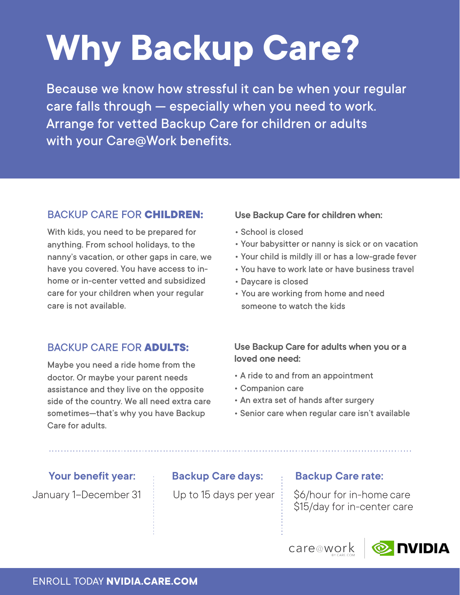# **Why Backup Care?**

Because we know how stressful it can be when your regular care falls through — especially when you need to work. Arrange for vetted Backup Care for children or adults with your Care@Work benefits.

### BACKUP CARE FOR **CHILDREN:**

With kids, you need to be prepared for anything. From school holidays, to the nanny's vacation, or other gaps in care, we have you covered. You have access to inhome or in-center vetted and subsidized care for your children when your regular care is not available.

#### BACKUP CARE FOR **ADULTS:**

Maybe you need a ride home from the doctor. Or maybe your parent needs assistance and they live on the opposite side of the country. We all need extra care sometimes—that's why you have Backup Care for adults.

#### **Use Backup Care for children when:**

- School is closed
- Your babysitter or nanny is sick or on vacation
- Your child is mildly ill or has a low-grade fever
- You have to work late or have business travel
- Daycare is closed
- You are working from home and need someone to watch the kids

#### **Use Backup Care for adults when you or a loved one need:**

- A ride to and from an appointment
- Companion care
- An extra set of hands after surgery
- Senior care when regular care isn't available

## **Your benefit year: Backup Care days: Backup Care rate:**

January 1–December 31  $\pm$  Up to 15 days per year  $\pm$  \$6/hour for in-home care \$15/day for in-center care

care@work